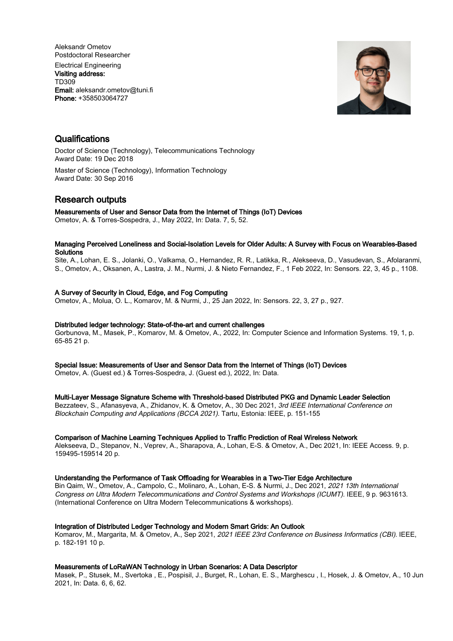Aleksandr Ometov Postdoctoral Researcher Electrical Engineering Visiting address: TD309 Email: aleksandr.ometov@tuni.fi Phone: +358503064727



# **Qualifications**

Doctor of Science (Technology), Telecommunications Technology Award Date: 19 Dec 2018 Master of Science (Technology), Information Technology Award Date: 30 Sep 2016

# Research outputs

Measurements of User and Sensor Data from the Internet of Things (IoT) Devices

Ometov, A. & Torres-Sospedra, J., May 2022, In: Data. 7, 5, 52.

## Managing Perceived Loneliness and Social-Isolation Levels for Older Adults: A Survey with Focus on Wearables-Based **Solutions**

Site, A., Lohan, E. S., Jolanki, O., Valkama, O., Hernandez, R. R., Latikka, R., Alekseeva, D., Vasudevan, S., Afolaranmi, S., Ometov, A., Oksanen, A., Lastra, J. M., Nurmi, J. & Nieto Fernandez, F., 1 Feb 2022, In: Sensors. 22, 3, 45 p., 1108.

# A Survey of Security in Cloud, Edge, and Fog Computing

Ometov, A., Molua, O. L., Komarov, M. & Nurmi, J., 25 Jan 2022, In: Sensors. 22, 3, 27 p., 927.

# Distributed ledger technology: State-of-the-art and current challenges

Gorbunova, M., Masek, P., Komarov, M. & Ometov, A., 2022, In: Computer Science and Information Systems. 19, 1, p. 65-85 21 p.

Special Issue: Measurements of User and Sensor Data from the Internet of Things (IoT) Devices

Ometov, A. (Guest ed.) & Torres-Sospedra, J. (Guest ed.), 2022, In: Data.

# Multi-Layer Message Signature Scheme with Threshold-based Distributed PKG and Dynamic Leader Selection

Bezzateev, S., Afanasyeva, A., Zhidanov, K. & Ometov, A., 30 Dec 2021, 3rd IEEE International Conference on Blockchain Computing and Applications (BCCA 2021). Tartu, Estonia: IEEE, p. 151-155

# Comparison of Machine Learning Techniques Applied to Traffic Prediction of Real Wireless Network

Alekseeva, D., Stepanov, N., Veprev, A., Sharapova, A., Lohan, E-S. & Ometov, A., Dec 2021, In: IEEE Access. 9, p. 159495-159514 20 p.

## Understanding the Performance of Task Offloading for Wearables in a Two-Tier Edge Architecture

Bin Qaim, W., Ometov, A., Campolo, C., Molinaro, A., Lohan, E-S. & Nurmi, J., Dec 2021, 2021 13th International Congress on Ultra Modern Telecommunications and Control Systems and Workshops (ICUMT). IEEE, 9 p. 9631613. (International Conference on Ultra Modern Telecommunications & workshops).

# Integration of Distributed Ledger Technology and Modern Smart Grids: An Outlook

Komarov, M., Margarita, M. & Ometov, A., Sep 2021, 2021 IEEE 23rd Conference on Business Informatics (CBI). IEEE, p. 182-191 10 p.

# Measurements of LoRaWAN Technology in Urban Scenarios: A Data Descriptor

Masek, P., Stusek, M., Svertoka , E., Pospisil, J., Burget, R., Lohan, E. S., Marghescu , I., Hosek, J. & Ometov, A., 10 Jun 2021, In: Data. 6, 6, 62.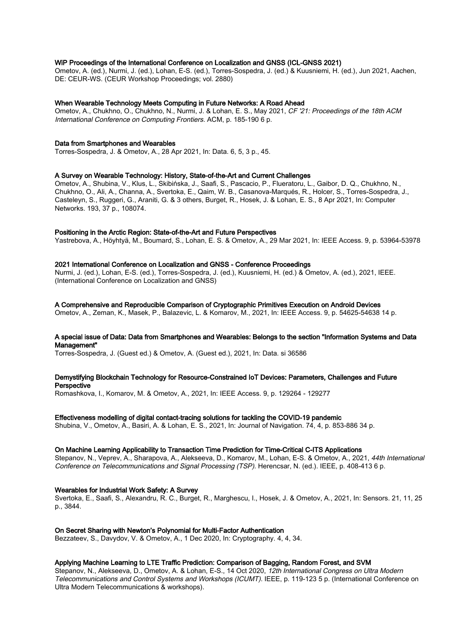## WiP Proceedings of the International Conference on Localization and GNSS (ICL-GNSS 2021)

Ometov, A. (ed.), Nurmi, J. (ed.), Lohan, E-S. (ed.), Torres-Sospedra, J. (ed.) & Kuusniemi, H. (ed.), Jun 2021, Aachen, DE: CEUR-WS. (CEUR Workshop Proceedings; vol. 2880)

#### When Wearable Technology Meets Computing in Future Networks: A Road Ahead

Ometov, A., Chukhno, O., Chukhno, N., Nurmi, J. & Lohan, E. S., May 2021, CF '21: Proceedings of the 18th ACM International Conference on Computing Frontiers. ACM, p. 185-190 6 p.

## Data from Smartphones and Wearables

Torres-Sospedra, J. & Ometov, A., 28 Apr 2021, In: Data. 6, 5, 3 p., 45.

## A Survey on Wearable Technology: History, State-of-the-Art and Current Challenges

Ometov, A., Shubina, V., Klus, L., Skibińska, J., Saafi, S., Pascacio, P., Flueratoru, L., Gaibor, D. Q., Chukhno, N., Chukhno, O., Ali, A., Channa, A., Svertoka, E., Qaim, W. B., Casanova-Marqués, R., Holcer, S., Torres-Sospedra, J., Casteleyn, S., Ruggeri, G., Araniti, G. & 3 others, Burget, R., Hosek, J. & Lohan, E. S., 8 Apr 2021, In: Computer Networks. 193, 37 p., 108074.

#### Positioning in the Arctic Region: State-of-the-Art and Future Perspectives

Yastrebova, A., Höyhtyä, M., Boumard, S., Lohan, E. S. & Ometov, A., 29 Mar 2021, In: IEEE Access. 9, p. 53964-53978

## 2021 International Conference on Localization and GNSS - Conference Proceedings

Nurmi, J. (ed.), Lohan, E-S. (ed.), Torres-Sospedra, J. (ed.), Kuusniemi, H. (ed.) & Ometov, A. (ed.), 2021, IEEE. (International Conference on Localization and GNSS)

## A Comprehensive and Reproducible Comparison of Cryptographic Primitives Execution on Android Devices

Ometov, A., Zeman, K., Masek, P., Balazevic, L. & Komarov, M., 2021, In: IEEE Access. 9, p. 54625-54638 14 p.

## A special issue of Data: Data from Smartphones and Wearables: Belongs to the section "Information Systems and Data Management"

Torres-Sospedra, J. (Guest ed.) & Ometov, A. (Guest ed.), 2021, In: Data. si 36586

## Demystifying Blockchain Technology for Resource-Constrained IoT Devices: Parameters, Challenges and Future Perspective

Romashkova, I., Komarov, M. & Ometov, A., 2021, In: IEEE Access. 9, p. 129264 - 129277

# Effectiveness modelling of digital contact-tracing solutions for tackling the COVID-19 pandemic

Shubina, V., Ometov, A., Basiri, A. & Lohan, E. S., 2021, In: Journal of Navigation. 74, 4, p. 853-886 34 p.

## On Machine Learning Applicability to Transaction Time Prediction for Time-Critical C-ITS Applications

Stepanov, N., Veprev, A., Sharapova, A., Alekseeva, D., Komarov, M., Lohan, E-S. & Ometov, A., 2021, 44th International Conference on Telecommunications and Signal Processing (TSP). Herencsar, N. (ed.). IEEE, p. 408-413 6 p.

# Wearables for Industrial Work Safety: A Survey

Svertoka, E., Saafi, S., Alexandru, R. C., Burget, R., Marghescu, I., Hosek, J. & Ometov, A., 2021, In: Sensors. 21, 11, 25 p., 3844.

#### On Secret Sharing with Newton's Polynomial for Multi-Factor Authentication

Bezzateev, S., Davydov, V. & Ometov, A., 1 Dec 2020, In: Cryptography. 4, 4, 34.

## Applying Machine Learning to LTE Traffic Prediction: Comparison of Bagging, Random Forest, and SVM

Stepanov, N., Alekseeva, D., Ometov, A. & Lohan, E-S., 14 Oct 2020, 12th International Congress on Ultra Modern Telecommunications and Control Systems and Workshops (ICUMT). IEEE, p. 119-123 5 p. (International Conference on Ultra Modern Telecommunications & workshops).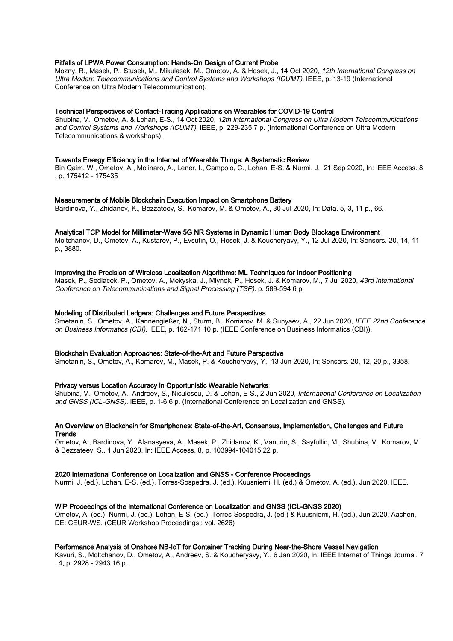## Pitfalls of LPWA Power Consumption: Hands-On Design of Current Probe

Mozny, R., Masek, P., Stusek, M., Mikulasek, M., Ometov, A. & Hosek, J., 14 Oct 2020, 12th International Congress on Ultra Modern Telecommunications and Control Systems and Workshops (ICUMT). IEEE, p. 13-19 (International Conference on Ultra Modern Telecommunication).

## Technical Perspectives of Contact-Tracing Applications on Wearables for COVID-19 Control

Shubina, V., Ometov, A. & Lohan, E-S., 14 Oct 2020, 12th International Congress on Ultra Modern Telecommunications and Control Systems and Workshops (ICUMT). IEEE, p. 229-235 7 p. (International Conference on Ultra Modern Telecommunications & workshops).

#### Towards Energy Efficiency in the Internet of Wearable Things: A Systematic Review

Bin Qaim, W., Ometov, A., Molinaro, A., Lener, I., Campolo, C., Lohan, E-S. & Nurmi, J., 21 Sep 2020, In: IEEE Access. 8 , p. 175412 - 175435

#### Measurements of Mobile Blockchain Execution Impact on Smartphone Battery

Bardinova, Y., Zhidanov, K., Bezzateev, S., Komarov, M. & Ometov, A., 30 Jul 2020, In: Data. 5, 3, 11 p., 66.

#### Analytical TCP Model for Millimeter-Wave 5G NR Systems in Dynamic Human Body Blockage Environment

Moltchanov, D., Ometov, A., Kustarev, P., Evsutin, O., Hosek, J. & Koucheryavy, Y., 12 Jul 2020, In: Sensors. 20, 14, 11 p., 3880.

## Improving the Precision of Wireless Localization Algorithms: ML Techniques for Indoor Positioning

Masek, P., Sedlacek, P., Ometov, A., Mekyska, J., Mlynek, P., Hosek, J. & Komarov, M., 7 Jul 2020, 43rd International Conference on Telecommunications and Signal Processing (TSP). p. 589-594 6 p.

#### Modeling of Distributed Ledgers: Challenges and Future Perspectives

Smetanin, S., Ometov, A., Kannengießer, N., Sturm, B., Komarov, M. & Sunyaev, A., 22 Jun 2020, IEEE 22nd Conference on Business Informatics (CBI). IEEE, p. 162-171 10 p. (IEEE Conference on Business Informatics (CBI)).

## Blockchain Evaluation Approaches: State-of-the-Art and Future Perspective

Smetanin, S., Ometov, A., Komarov, M., Masek, P. & Koucheryavy, Y., 13 Jun 2020, In: Sensors. 20, 12, 20 p., 3358.

## Privacy versus Location Accuracy in Opportunistic Wearable Networks

Shubina, V., Ometov, A., Andreev, S., Niculescu, D. & Lohan, E-S., 2 Jun 2020, International Conference on Localization and GNSS (ICL-GNSS). IEEE, p. 1-6 6 p. (International Conference on Localization and GNSS).

## An Overview on Blockchain for Smartphones: State-of-the-Art, Consensus, Implementation, Challenges and Future **Trends**

Ometov, A., Bardinova, Y., Afanasyeva, A., Masek, P., Zhidanov, K., Vanurin, S., Sayfullin, M., Shubina, V., Komarov, M. & Bezzateev, S., 1 Jun 2020, In: IEEE Access. 8, p. 103994-104015 22 p.

#### 2020 International Conference on Localization and GNSS - Conference Proceedings

Nurmi, J. (ed.), Lohan, E-S. (ed.), Torres-Sospedra, J. (ed.), Kuusniemi, H. (ed.) & Ometov, A. (ed.), Jun 2020, IEEE.

#### WiP Proceedings of the International Conference on Localization and GNSS (ICL-GNSS 2020)

Ometov, A. (ed.), Nurmi, J. (ed.), Lohan, E-S. (ed.), Torres-Sospedra, J. (ed.) & Kuusniemi, H. (ed.), Jun 2020, Aachen, DE: CEUR-WS. (CEUR Workshop Proceedings ; vol. 2626)

#### Performance Analysis of Onshore NB-IoT for Container Tracking During Near-the-Shore Vessel Navigation

Kavuri, S., Moltchanov, D., Ometov, A., Andreev, S. & Koucheryavy, Y., 6 Jan 2020, In: IEEE Internet of Things Journal. 7 , 4, p. 2928 - 2943 16 p.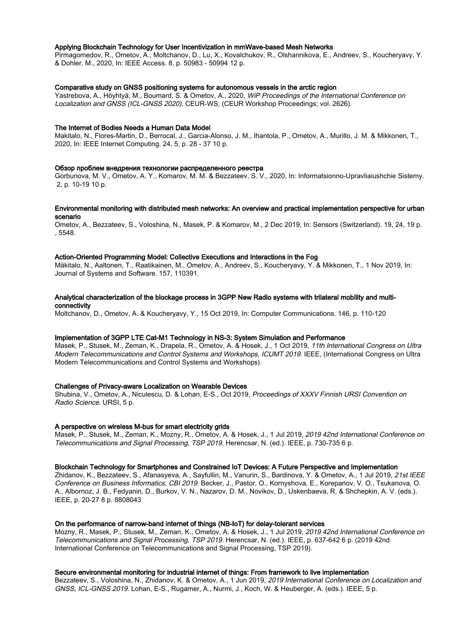## Applying Blockchain Technology for User Incentivization in mmWave-based Mesh Networks

Pirmagomedov, R., Ometov, A., Moltchanov, D., Lu, X., Kovalchukov, R., Olshannikova, E., Andreev, S., Koucheryavy, Y. & Dohler, M., 2020, In: IEEE Access. 8, p. 50983 - 50994 12 p.

#### Comparative study on GNSS positioning systems for autonomous vessels in the arctic region

Yastrebova, A., Höyhtyä, M., Boumard, S. & Ometov, A., 2020, WiP Proceedings of the International Conference on Localization and GNSS (ICL-GNSS 2020). CEUR-WS, (CEUR Workshop Proceedings; vol. 2626).

#### The Internet of Bodies Needs a Human Data Model

Makitalo, N., Flores-Martin, D., Berrocal, J., Garcia-Alonso, J. M., Ihantola, P., Ometov, A., Murillo, J. M. & Mikkonen, T., 2020, In: IEEE Internet Computing. 24, 5, p. 28 - 37 10 p.

#### Обзор проблем внедрения технологии распределенного реестра

Gorbunova, M. V., Ometov, A. Y., Komarov, M. M. & Bezzateev, S. V., 2020, In: Informatsionno-Upravliaiushchie Sistemy. 2, p. 10-19 10 p.

## Environmental monitoring with distributed mesh networks: An overview and practical implementation perspective for urban scenario

Ometov, A., Bezzateev, S., Voloshina, N., Masek, P. & Komarov, M., 2 Dec 2019, In: Sensors (Switzerland). 19, 24, 19 p. , 5548.

#### Action-Oriented Programming Model: Collective Executions and Interactions in the Fog

Mäkitalo, N., Aaltonen, T., Raatikainen, M., Ometov, A., Andreev, S., Koucheryavy, Y. & Mikkonen, T., 1 Nov 2019, In: Journal of Systems and Software. 157, 110391.

## Analytical characterization of the blockage process in 3GPP New Radio systems with trilateral mobility and multiconnectivity

Moltchanov, D., Ometov, A. & Koucheryavy, Y., 15 Oct 2019, In: Computer Communications. 146, p. 110-120

## Implementation of 3GPP LTE Cat-M1 Technology in NS-3: System Simulation and Performance

Masek, P., Stusek, M., Zeman, K., Drapela, R., Ometov, A. & Hosek, J., 1 Oct 2019, 11th International Congress on Ultra Modern Telecommunications and Control Systems and Workshops, ICUMT 2019. IEEE, (International Congress on Ultra Modern Telecommunications and Control Systems and Workshops).

#### Challenges of Privacy-aware Localization on Wearable Devices

Shubina, V., Ometov, A., Niculescu, D. & Lohan, E-S., Oct 2019, Proceedings of XXXV Finnish URSI Convention on Radio Science. URSI, 5 p.

# A perspective on wireless M-bus for smart electricity grids

Masek, P., Stusek, M., Zeman, K., Mozny, R., Ometov, A. & Hosek, J., 1 Jul 2019, 2019 42nd International Conference on Telecommunications and Signal Processing, TSP 2019. Herencsar, N. (ed.). IEEE, p. 730-735 6 p.

#### Blockchain Technology for Smartphones and Constrained IoT Devices: A Future Perspective and Implementation

Zhidanov, K., Bezzateev, S., Afanasyeva, A., Sayfullin, M., Vanurin, S., Bardinova, Y. & Ometov, A., 1 Jul 2019, 21st IEEE Conference on Business Informatics, CBI 2019. Becker, J., Pastor, O., Kornyshova, E., Korepanov, V. O., Tsukanova, O. A., Albornoz, J. B., Fedyanin, D., Burkov, V. N., Nazarov, D. M., Novikov, D., Uskenbaeva, R. & Shchepkin, A. V. (eds.). IEEE, p. 20-27 8 p. 8808043

#### On the performance of narrow-band internet of things (NB-IoT) for delay-tolerant services

Mozny, R., Masek, P., Stusek, M., Zeman, K., Ometov, A. & Hosek, J., 1 Jul 2019, 2019 42nd International Conference on Telecommunications and Signal Processing, TSP 2019. Herencsar, N. (ed.). IEEE, p. 637-642 6 p. (2019 42nd International Conference on Telecommunications and Signal Processing, TSP 2019).

#### Secure environmental monitoring for industrial internet of things: From framework to live implementation

Bezzateev, S., Voloshina, N., Zhidanov, K. & Ometov, A., 1 Jun 2019, 2019 International Conference on Localization and GNSS, ICL-GNSS 2019. Lohan, E-S., Rugamer, A., Nurmi, J., Koch, W. & Heuberger, A. (eds.). IEEE, 5 p.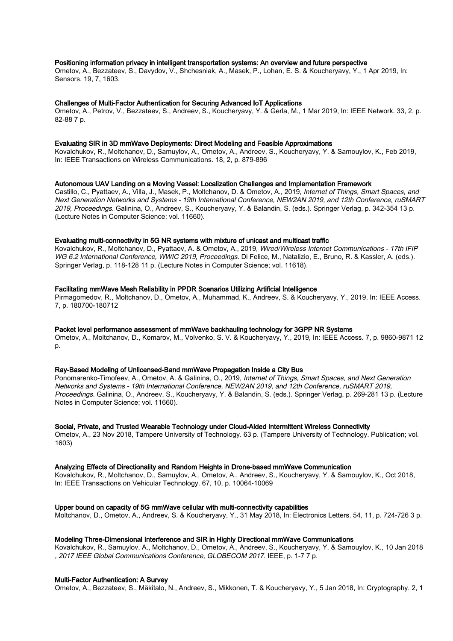## Positioning information privacy in intelligent transportation systems: An overview and future perspective

Ometov, A., Bezzateev, S., Davydov, V., Shchesniak, A., Masek, P., Lohan, E. S. & Koucheryavy, Y., 1 Apr 2019, In: Sensors. 19, 7, 1603.

#### Challenges of Multi-Factor Authentication for Securing Advanced IoT Applications

Ometov, A., Petrov, V., Bezzateev, S., Andreev, S., Koucheryavy, Y. & Gerla, M., 1 Mar 2019, In: IEEE Network. 33, 2, p. 82-88 7 p.

## Evaluating SIR in 3D mmWave Deployments: Direct Modeling and Feasible Approximations

Kovalchukov, R., Moltchanov, D., Samuylov, A., Ometov, A., Andreev, S., Koucheryavy, Y. & Samouylov, K., Feb 2019, In: IEEE Transactions on Wireless Communications. 18, 2, p. 879-896

#### Autonomous UAV Landing on a Moving Vessel: Localization Challenges and Implementation Framework

Castillo, C., Pyattaev, A., Villa, J., Masek, P., Moltchanov, D. & Ometov, A., 2019, Internet of Things, Smart Spaces, and Next Generation Networks and Systems - 19th International Conference, NEW2AN 2019, and 12th Conference, ruSMART 2019, Proceedings. Galinina, O., Andreev, S., Koucheryavy, Y. & Balandin, S. (eds.). Springer Verlag, p. 342-354 13 p. (Lecture Notes in Computer Science; vol. 11660).

## Evaluating multi-connectivity in 5G NR systems with mixture of unicast and multicast traffic

Kovalchukov, R., Moltchanov, D., Pyattaev, A. & Ometov, A., 2019, Wired/Wireless Internet Communications - 17th IFIP WG 6.2 International Conference, WWIC 2019, Proceedings. Di Felice, M., Natalizio, E., Bruno, R. & Kassler, A. (eds.). Springer Verlag, p. 118-128 11 p. (Lecture Notes in Computer Science; vol. 11618).

#### Facilitating mmWave Mesh Reliability in PPDR Scenarios Utilizing Artificial Intelligence

Pirmagomedov, R., Moltchanov, D., Ometov, A., Muhammad, K., Andreev, S. & Koucheryavy, Y., 2019, In: IEEE Access. 7, p. 180700-180712

## Packet level performance assessment of mmWave backhauling technology for 3GPP NR Systems

Ometov, A., Moltchanov, D., Komarov, M., Volvenko, S. V. & Koucheryavy, Y., 2019, In: IEEE Access. 7, p. 9860-9871 12 p.

## Ray-Based Modeling of Unlicensed-Band mmWave Propagation Inside a City Bus

Ponomarenko-Timofeev, A., Ometov, A. & Galinina, O., 2019, Internet of Things, Smart Spaces, and Next Generation Networks and Systems - 19th International Conference, NEW2AN 2019, and 12th Conference, ruSMART 2019, Proceedings. Galinina, O., Andreev, S., Koucheryavy, Y. & Balandin, S. (eds.). Springer Verlag, p. 269-281 13 p. (Lecture Notes in Computer Science; vol. 11660).

#### Social, Private, and Trusted Wearable Technology under Cloud-Aided Intermittent Wireless Connectivity

Ometov, A., 23 Nov 2018, Tampere University of Technology. 63 p. (Tampere University of Technology. Publication; vol. 1603)

#### Analyzing Effects of Directionality and Random Heights in Drone-based mmWave Communication

Kovalchukov, R., Moltchanov, D., Samuylov, A., Ometov, A., Andreev, S., Koucheryavy, Y. & Samouylov, K., Oct 2018, In: IEEE Transactions on Vehicular Technology. 67, 10, p. 10064-10069

#### Upper bound on capacity of 5G mmWave cellular with multi-connectivity capabilities

Moltchanov, D., Ometov, A., Andreev, S. & Koucheryavy, Y., 31 May 2018, In: Electronics Letters. 54, 11, p. 724-726 3 p.

## Modeling Three-Dimensional Interference and SIR in Highly Directional mmWave Communications

Kovalchukov, R., Samuylov, A., Moltchanov, D., Ometov, A., Andreev, S., Koucheryavy, Y. & Samouylov, K., 10 Jan 2018 , 2017 IEEE Global Communications Conference, GLOBECOM 2017. IEEE, p. 1-7 7 p.

## Multi-Factor Authentication: A Survey

Ometov, A., Bezzateev, S., Mäkitalo, N., Andreev, S., Mikkonen, T. & Koucheryavy, Y., 5 Jan 2018, In: Cryptography. 2, 1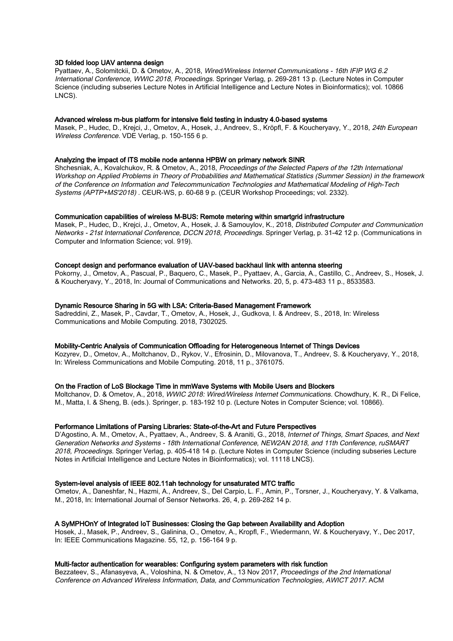## 3D folded loop UAV antenna design

Pyattaev, A., Solomitckii, D. & Ometov, A., 2018, Wired/Wireless Internet Communications - 16th IFIP WG 6.2 International Conference, WWIC 2018, Proceedings. Springer Verlag, p. 269-281 13 p. (Lecture Notes in Computer Science (including subseries Lecture Notes in Artificial Intelligence and Lecture Notes in Bioinformatics); vol. 10866 LNCS).

#### Advanced wireless m-bus platform for intensive field testing in industry 4.0-based systems

Masek, P., Hudec, D., Krejci, J., Ometov, A., Hosek, J., Andreev, S., Kröpfl, F. & Koucheryavy, Y., 2018, 24th European Wireless Conference. VDE Verlag, p. 150-155 6 p.

#### Analyzing the impact of ITS mobile node antenna HPBW on primary network SINR

Shchesniak, A., Kovalchukov, R. & Ometov, A., 2018, Proceedings of the Selected Papers of the 12th International Workshop on Applied Problems in Theory of Probabilities and Mathematical Statistics (Summer Session) in the framework of the Conference on Information and Telecommunication Technologies and Mathematical Modeling of High-Tech Systems (APTP+MS'2018) . CEUR-WS, p. 60-68 9 p. (CEUR Workshop Proceedings; vol. 2332).

## Communication capabilities of wireless M-BUS: Remote metering within smartgrid infrastructure

Masek, P., Hudec, D., Krejci, J., Ometov, A., Hosek, J. & Samouylov, K., 2018, Distributed Computer and Communication Networks - 21st International Conference, DCCN 2018, Proceedings. Springer Verlag, p. 31-42 12 p. (Communications in Computer and Information Science; vol. 919).

## Concept design and performance evaluation of UAV-based backhaul link with antenna steering

Pokorny, J., Ometov, A., Pascual, P., Baquero, C., Masek, P., Pyattaev, A., Garcia, A., Castillo, C., Andreev, S., Hosek, J. & Koucheryavy, Y., 2018, In: Journal of Communications and Networks. 20, 5, p. 473-483 11 p., 8533583.

## Dynamic Resource Sharing in 5G with LSA: Criteria-Based Management Framework

Sadreddini, Z., Masek, P., Cavdar, T., Ometov, A., Hosek, J., Gudkova, I. & Andreev, S., 2018, In: Wireless Communications and Mobile Computing. 2018, 7302025.

## Mobility-Centric Analysis of Communication Offloading for Heterogeneous Internet of Things Devices

Kozyrev, D., Ometov, A., Moltchanov, D., Rykov, V., Efrosinin, D., Milovanova, T., Andreev, S. & Koucheryavy, Y., 2018, In: Wireless Communications and Mobile Computing. 2018, 11 p., 3761075.

## On the Fraction of LoS Blockage Time in mmWave Systems with Mobile Users and Blockers

Moltchanov, D. & Ometov, A., 2018, WWIC 2018: Wired/Wireless Internet Communications. Chowdhury, K. R., Di Felice, M., Matta, I. & Sheng, B. (eds.). Springer, p. 183-192 10 p. (Lecture Notes in Computer Science; vol. 10866).

## Performance Limitations of Parsing Libraries: State-of-the-Art and Future Perspectives

D'Agostino, A. M., Ometov, A., Pyattaev, A., Andreev, S. & Araniti, G., 2018, Internet of Things, Smart Spaces, and Next Generation Networks and Systems - 18th International Conference, NEW2AN 2018, and 11th Conference, ruSMART 2018, Proceedings. Springer Verlag, p. 405-418 14 p. (Lecture Notes in Computer Science (including subseries Lecture Notes in Artificial Intelligence and Lecture Notes in Bioinformatics); vol. 11118 LNCS).

#### System-level analysis of IEEE 802.11ah technology for unsaturated MTC traffic

Ometov, A., Daneshfar, N., Hazmi, A., Andreev, S., Del Carpio, L. F., Amin, P., Torsner, J., Koucheryavy, Y. & Valkama, M., 2018, In: International Journal of Sensor Networks. 26, 4, p. 269-282 14 p.

## A SyMPHOnY of Integrated IoT Businesses: Closing the Gap between Availability and Adoption

Hosek, J., Masek, P., Andreev, S., Galinina, O., Ometov, A., Kropfl, F., Wiedermann, W. & Koucheryavy, Y., Dec 2017, In: IEEE Communications Magazine. 55, 12, p. 156-164 9 p.

## Multi-factor authentication for wearables: Configuring system parameters with risk function

Bezzateev, S., Afanasyeva, A., Voloshina, N. & Ometov, A., 13 Nov 2017, Proceedings of the 2nd International Conference on Advanced Wireless Information, Data, and Communication Technologies, AWICT 2017. ACM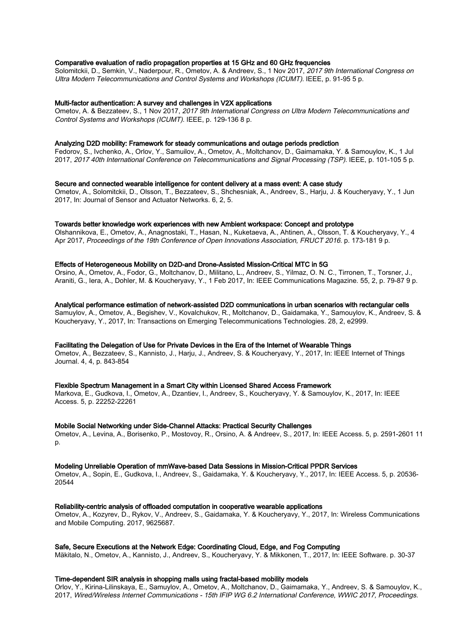## Comparative evaluation of radio propagation properties at 15 GHz and 60 GHz frequencies

Solomitckii, D., Semkin, V., Naderpour, R., Ometov, A. & Andreev, S., 1 Nov 2017, 2017 9th International Congress on Ultra Modern Telecommunications and Control Systems and Workshops (ICUMT). IEEE, p. 91-95 5 p.

#### Multi-factor authentication: A survey and challenges in V2X applications

Ometov, A. & Bezzateev, S., 1 Nov 2017, 2017 9th International Congress on Ultra Modern Telecommunications and Control Systems and Workshops (ICUMT). IEEE, p. 129-136 8 p.

## Analyzing D2D mobility: Framework for steady communications and outage periods prediction

Fedorov, S., Ivchenko, A., Orlov, Y., Samuilov, A., Ometov, A., Moltchanov, D., Gaimamaka, Y. & Samouylov, K., 1 Jul 2017, 2017 40th International Conference on Telecommunications and Signal Processing (TSP). IEEE, p. 101-105 5 p.

#### Secure and connected wearable intelligence for content delivery at a mass event: A case study

Ometov, A., Solomitckii, D., Olsson, T., Bezzateev, S., Shchesniak, A., Andreev, S., Harju, J. & Koucheryavy, Y., 1 Jun 2017, In: Journal of Sensor and Actuator Networks. 6, 2, 5.

#### Towards better knowledge work experiences with new Ambient workspace: Concept and prototype

Olshannikova, E., Ometov, A., Anagnostaki, T., Hasan, N., Kuketaeva, A., Ahtinen, A., Olsson, T. & Koucheryavy, Y., 4 Apr 2017, Proceedings of the 19th Conference of Open Innovations Association, FRUCT 2016. p. 173-181 9 p.

## Effects of Heterogeneous Mobility on D2D-and Drone-Assisted Mission-Critical MTC in 5G

Orsino, A., Ometov, A., Fodor, G., Moltchanov, D., Militano, L., Andreev, S., Yilmaz, O. N. C., Tirronen, T., Torsner, J., Araniti, G., Iera, A., Dohler, M. & Koucheryavy, Y., 1 Feb 2017, In: IEEE Communications Magazine. 55, 2, p. 79-87 9 p.

Analytical performance estimation of network-assisted D2D communications in urban scenarios with rectangular cells Samuylov, A., Ometov, A., Begishev, V., Kovalchukov, R., Moltchanov, D., Gaidamaka, Y., Samouylov, K., Andreev, S. & Koucheryavy, Y., 2017, In: Transactions on Emerging Telecommunications Technologies. 28, 2, e2999.

## Facilitating the Delegation of Use for Private Devices in the Era of the Internet of Wearable Things

Ometov, A., Bezzateev, S., Kannisto, J., Harju, J., Andreev, S. & Koucheryavy, Y., 2017, In: IEEE Internet of Things Journal. 4, 4, p. 843-854

## Flexible Spectrum Management in a Smart City within Licensed Shared Access Framework

Markova, E., Gudkova, I., Ometov, A., Dzantiev, I., Andreev, S., Koucheryavy, Y. & Samouylov, K., 2017, In: IEEE Access. 5, p. 22252-22261

#### Mobile Social Networking under Side-Channel Attacks: Practical Security Challenges

Ometov, A., Levina, A., Borisenko, P., Mostovoy, R., Orsino, A. & Andreev, S., 2017, In: IEEE Access. 5, p. 2591-2601 11 p.

# Modeling Unreliable Operation of mmWave-based Data Sessions in Mission-Critical PPDR Services

Ometov, A., Sopin, E., Gudkova, I., Andreev, S., Gaidamaka, Y. & Koucheryavy, Y., 2017, In: IEEE Access. 5, p. 20536- 20544

## Reliability-centric analysis of offloaded computation in cooperative wearable applications

Ometov, A., Kozyrev, D., Rykov, V., Andreev, S., Gaidamaka, Y. & Koucheryavy, Y., 2017, In: Wireless Communications and Mobile Computing. 2017, 9625687.

## Safe, Secure Executions at the Network Edge: Coordinating Cloud, Edge, and Fog Computing

Mäkitalo, N., Ometov, A., Kannisto, J., Andreev, S., Koucheryavy, Y. & Mikkonen, T., 2017, In: IEEE Software. p. 30-37

## Time-dependent SIR analysis in shopping malls using fractal-based mobility models

Orlov, Y., Kirina-Lilinskaya, E., Samuylov, A., Ometov, A., Moltchanov, D., Gaimamaka, Y., Andreev, S. & Samouylov, K., 2017, Wired/Wireless Internet Communications - 15th IFIP WG 6.2 International Conference, WWIC 2017, Proceedings.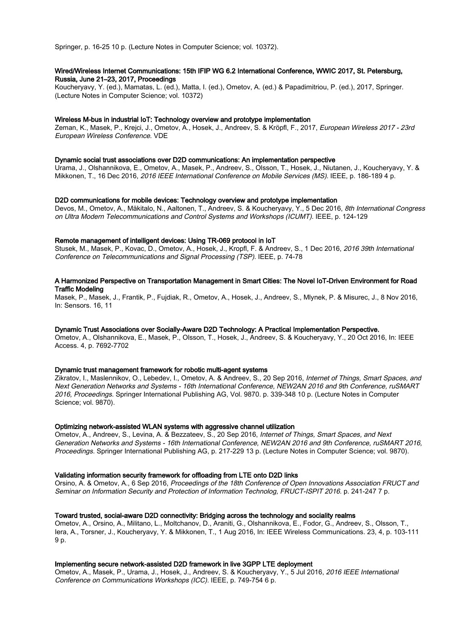Springer, p. 16-25 10 p. (Lecture Notes in Computer Science; vol. 10372).

# Wired/Wireless Internet Communications: 15th IFIP WG 6.2 International Conference, WWIC 2017, St. Petersburg, Russia, June 21–23, 2017, Proceedings

Koucheryavy, Y. (ed.), Mamatas, L. (ed.), Matta, I. (ed.), Ometov, A. (ed.) & Papadimitriou, P. (ed.), 2017, Springer. (Lecture Notes in Computer Science; vol. 10372)

## Wireless M-bus in industrial IoT: Technology overview and prototype implementation

Zeman, K., Masek, P., Krejci, J., Ometov, A., Hosek, J., Andreev, S. & Kröpfl, F., 2017, European Wireless 2017 - 23rd European Wireless Conference. VDE

#### Dynamic social trust associations over D2D communications: An implementation perspective

Urama, J., Olshannikova, E., Ometov, A., Masek, P., Andreev, S., Olsson, T., Hosek, J., Niutanen, J., Koucheryavy, Y. & Mikkonen, T., 16 Dec 2016, 2016 IEEE International Conference on Mobile Services (MS). IEEE, p. 186-189 4 p.

## D2D communications for mobile devices: Technology overview and prototype implementation

Devos, M., Ometov, A., Mäkitalo, N., Aaltonen, T., Andreev, S. & Koucheryavy, Y., 5 Dec 2016, 8th International Congress on Ultra Modern Telecommunications and Control Systems and Workshops (ICUMT). IEEE, p. 124-129

#### Remote management of intelligent devices: Using TR-069 protocol in IoT

Stusek, M., Masek, P., Kovac, D., Ometov, A., Hosek, J., Kropfl, F. & Andreev, S., 1 Dec 2016, 2016 39th International Conference on Telecommunications and Signal Processing (TSP). IEEE, p. 74-78

## A Harmonized Perspective on Transportation Management in Smart Cities: The Novel IoT-Driven Environment for Road Traffic Modeling

Masek, P., Masek, J., Frantik, P., Fujdiak, R., Ometov, A., Hosek, J., Andreev, S., Mlynek, P. & Misurec, J., 8 Nov 2016, In: Sensors. 16, 11

# Dynamic Trust Associations over Socially-Aware D2D Technology: A Practical Implementation Perspective.

Ometov, A., Olshannikova, E., Masek, P., Olsson, T., Hosek, J., Andreev, S. & Koucheryavy, Y., 20 Oct 2016, In: IEEE Access. 4, p. 7692-7702

## Dynamic trust management framework for robotic multi-agent systems

Zikratov, I., Maslennikov, O., Lebedev, I., Ometov, A. & Andreev, S., 20 Sep 2016, Internet of Things, Smart Spaces, and Next Generation Networks and Systems - 16th International Conference, NEW2AN 2016 and 9th Conference, ruSMART 2016, Proceedings. Springer International Publishing AG, Vol. 9870. p. 339-348 10 p. (Lecture Notes in Computer Science; vol. 9870).

## Optimizing network-assisted WLAN systems with aggressive channel utilization

Ometov, A., Andreev, S., Levina, A. & Bezzateev, S., 20 Sep 2016, Internet of Things, Smart Spaces, and Next Generation Networks and Systems - 16th International Conference, NEW2AN 2016 and 9th Conference, ruSMART 2016, Proceedings. Springer International Publishing AG, p. 217-229 13 p. (Lecture Notes in Computer Science; vol. 9870).

#### Validating information security framework for offloading from LTE onto D2D links

Orsino, A. & Ometov, A., 6 Sep 2016, Proceedings of the 18th Conference of Open Innovations Association FRUCT and Seminar on Information Security and Protection of Information Technolog, FRUCT-ISPIT 2016. p. 241-247 7 p.

## Toward trusted, social-aware D2D connectivity: Bridging across the technology and sociality realms

Ometov, A., Orsino, A., Militano, L., Moltchanov, D., Araniti, G., Olshannikova, E., Fodor, G., Andreev, S., Olsson, T., Iera, A., Torsner, J., Koucheryavy, Y. & Mikkonen, T., 1 Aug 2016, In: IEEE Wireless Communications. 23, 4, p. 103-111 9 p.

## Implementing secure network-assisted D2D framework in live 3GPP LTE deployment

Ometov, A., Masek, P., Urama, J., Hosek, J., Andreev, S. & Koucheryavy, Y., 5 Jul 2016, 2016 IEEE International Conference on Communications Workshops (ICC). IEEE, p. 749-754 6 p.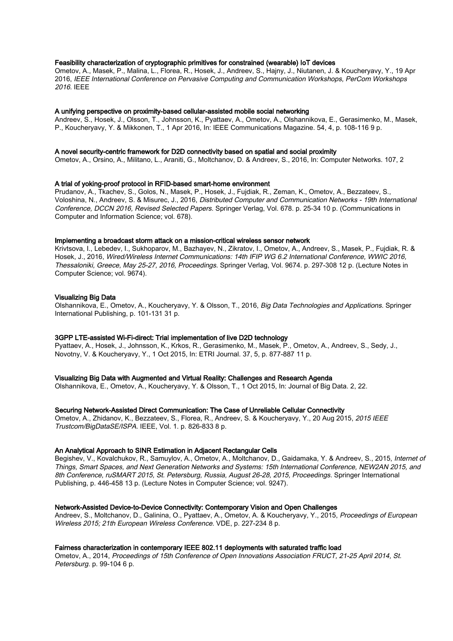# Feasibility characterization of cryptographic primitives for constrained (wearable) IoT devices

Ometov, A., Masek, P., Malina, L., Florea, R., Hosek, J., Andreev, S., Hajny, J., Niutanen, J. & Koucheryavy, Y., 19 Apr 2016, IEEE International Conference on Pervasive Computing and Communication Workshops, PerCom Workshops 2016. IEEE

## A unifying perspective on proximity-based cellular-assisted mobile social networking

Andreev, S., Hosek, J., Olsson, T., Johnsson, K., Pyattaev, A., Ometov, A., Olshannikova, E., Gerasimenko, M., Masek, P., Koucheryavy, Y. & Mikkonen, T., 1 Apr 2016, In: IEEE Communications Magazine. 54, 4, p. 108-116 9 p.

#### A novel security-centric framework for D2D connectivity based on spatial and social proximity

Ometov, A., Orsino, A., Militano, L., Araniti, G., Moltchanov, D. & Andreev, S., 2016, In: Computer Networks. 107, 2

## A trial of yoking-proof protocol in RFID-based smart-home environment

Prudanov, A., Tkachev, S., Golos, N., Masek, P., Hosek, J., Fujdiak, R., Zeman, K., Ometov, A., Bezzateev, S., Voloshina, N., Andreev, S. & Misurec, J., 2016, Distributed Computer and Communication Networks - 19th International Conference, DCCN 2016, Revised Selected Papers. Springer Verlag, Vol. 678. p. 25-34 10 p. (Communications in Computer and Information Science; vol. 678).

## Implementing a broadcast storm attack on a mission-critical wireless sensor network

Krivtsova, I., Lebedev, I., Sukhoparov, M., Bazhayev, N., Zikratov, I., Ometov, A., Andreev, S., Masek, P., Fujdiak, R. & Hosek, J., 2016, Wired/Wireless Internet Communications: 14th IFIP WG 6.2 International Conference, WWIC 2016, Thessaloniki, Greece, May 25-27, 2016, Proceedings. Springer Verlag, Vol. 9674. p. 297-308 12 p. (Lecture Notes in Computer Science; vol. 9674).

## Visualizing Big Data

Olshannikova, E., Ometov, A., Koucheryavy, Y. & Olsson, T., 2016, Big Data Technologies and Applications. Springer International Publishing, p. 101-131 31 p.

## 3GPP LTE-assisted Wi-Fi-direct: Trial implementation of live D2D technology

Pyattaev, A., Hosek, J., Johnsson, K., Krkos, R., Gerasimenko, M., Masek, P., Ometov, A., Andreev, S., Sedy, J., Novotny, V. & Koucheryavy, Y., 1 Oct 2015, In: ETRI Journal. 37, 5, p. 877-887 11 p.

## Visualizing Big Data with Augmented and Virtual Reality: Challenges and Research Agenda

Olshannikova, E., Ometov, A., Koucheryavy, Y. & Olsson, T., 1 Oct 2015, In: Journal of Big Data. 2, 22.

## Securing Network-Assisted Direct Communication: The Case of Unreliable Cellular Connectivity

Ometov, A., Zhidanov, K., Bezzateev, S., Florea, R., Andreev, S. & Koucheryavy, Y., 20 Aug 2015, 2015 IEEE Trustcom/BigDataSE/ISPA. IEEE, Vol. 1. p. 826-833 8 p.

## An Analytical Approach to SINR Estimation in Adjacent Rectangular Cells

Begishev, V., Kovalchukov, R., Samuylov, A., Ometov, A., Moltchanov, D., Gaidamaka, Y. & Andreev, S., 2015, Internet of Things, Smart Spaces, and Next Generation Networks and Systems: 15th International Conference, NEW2AN 2015, and 8th Conference, ruSMART 2015, St. Petersburg, Russia, August 26-28, 2015, Proceedings. Springer International Publishing, p. 446-458 13 p. (Lecture Notes in Computer Science; vol. 9247).

## Network-Assisted Device-to-Device Connectivity: Contemporary Vision and Open Challenges

Andreev, S., Moltchanov, D., Galinina, O., Pyattaev, A., Ometov, A. & Koucheryavy, Y., 2015, Proceedings of European Wireless 2015; 21th European Wireless Conference. VDE, p. 227-234 8 p.

## Fairness characterization in contemporary IEEE 802.11 deployments with saturated traffic load

Ometov, A., 2014, Proceedings of 15th Conference of Open Innovations Association FRUCT, 21-25 April 2014, St. Petersburg. p. 99-104 6 p.